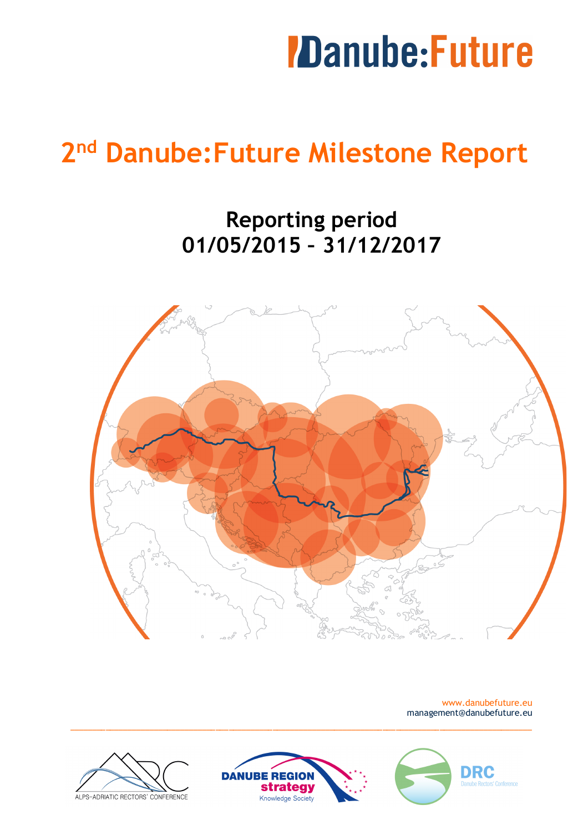### *IDanube:Future*

### **2nd Danube:Future Milestone Report**

**Reporting period 01/05/2015 – 31/12/2017**



www.danubefuture.eu management@danubefuture.eu





\_\_\_\_\_\_\_\_\_\_\_\_\_\_\_\_\_\_\_\_\_\_\_\_\_\_\_\_\_\_\_\_\_\_\_\_\_\_\_\_\_\_\_\_\_\_\_\_\_\_\_\_\_\_\_\_\_\_\_\_\_\_\_\_\_\_\_\_\_\_\_\_\_\_\_\_\_\_\_\_\_\_\_\_\_\_\_\_\_\_\_\_\_\_\_\_\_\_\_\_\_\_\_\_\_ 

**DRC**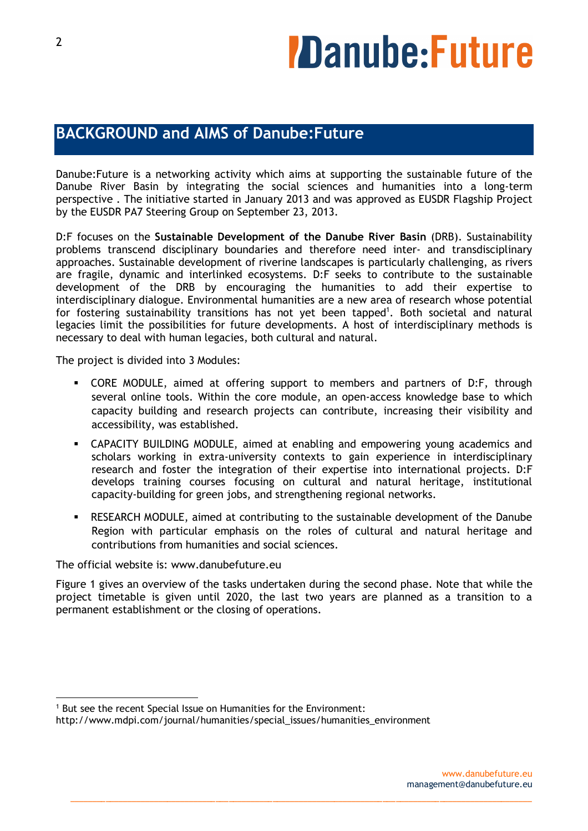# *ZDanube:Future*

### **BACKGROUND and AIMS of Danube:Future**

Danube:Future is a networking activity which aims at supporting the sustainable future of the Danube River Basin by integrating the social sciences and humanities into a long-term perspective . The initiative started in January 2013 and was approved as EUSDR Flagship Project by the EUSDR PA7 Steering Group on September 23, 2013.

D:F focuses on the **Sustainable Development of the Danube River Basin** (DRB). Sustainability problems transcend disciplinary boundaries and therefore need inter- and transdisciplinary approaches. Sustainable development of riverine landscapes is particularly challenging, as rivers are fragile, dynamic and interlinked ecosystems. D:F seeks to contribute to the sustainable development of the DRB by encouraging the humanities to add their expertise to interdisciplinary dialogue. Environmental humanities are a new area of research whose potential for fostering sustainability transitions has not yet been tapped<sup>1</sup>. Both societal and natural legacies limit the possibilities for future developments. A host of interdisciplinary methods is necessary to deal with human legacies, both cultural and natural.

The project is divided into 3 Modules:

- § CORE MODULE, aimed at offering support to members and partners of D:F, through several online tools. Within the core module, an open-access knowledge base to which capacity building and research projects can contribute, increasing their visibility and accessibility, was established.
- § CAPACITY BUILDING MODULE, aimed at enabling and empowering young academics and scholars working in extra-university contexts to gain experience in interdisciplinary research and foster the integration of their expertise into international projects. D:F develops training courses focusing on cultural and natural heritage, institutional capacity-building for green jobs, and strengthening regional networks.
- § RESEARCH MODULE, aimed at contributing to the sustainable development of the Danube Region with particular emphasis on the roles of cultural and natural heritage and contributions from humanities and social sciences.

The official website is: www.danubefuture.eu

 

Figure 1 gives an overview of the tasks undertaken during the second phase. Note that while the project timetable is given until 2020, the last two years are planned as a transition to a permanent establishment or the closing of operations.

<sup>1</sup> But see the recent Special Issue on Humanities for the Environment:

http://www.mdpi.com/journal/humanities/special\_issues/humanities\_environment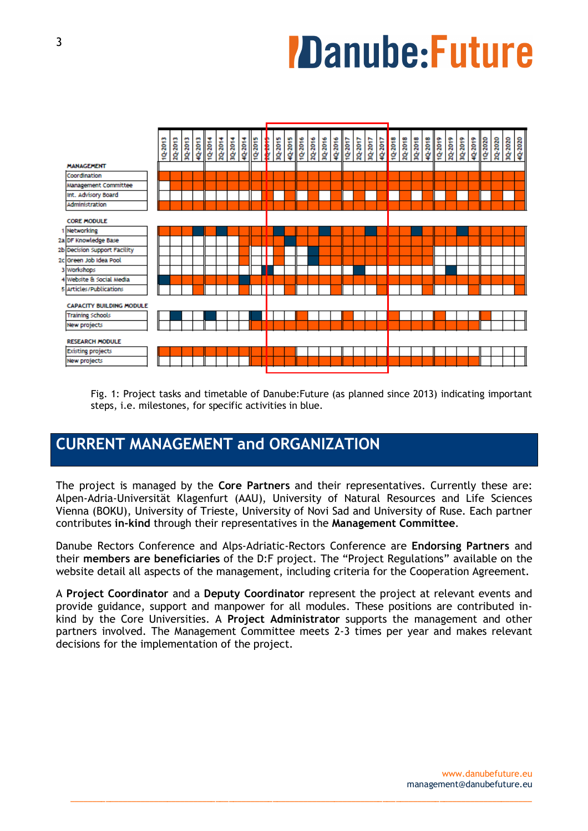# **7Danube: Future**



Fig. 1: Project tasks and timetable of Danube:Future (as planned since 2013) indicating important steps, i.e. milestones, for specific activities in blue.

### **CURRENT MANAGEMENT and ORGANIZATION**

The project is managed by the **Core Partners** and their representatives. Currently these are: Alpen-Adria-Universität Klagenfurt (AAU), University of Natural Resources and Life Sciences Vienna (BOKU), University of Trieste, University of Novi Sad and University of Ruse. Each partner contributes **in-kind** through their representatives in the **Management Committee**.

Danube Rectors Conference and Alps-Adriatic-Rectors Conference are **Endorsing Partners** and their **members are beneficiaries** of the D:F project. The "Project Regulations" available on the website detail all aspects of the management, including criteria for the Cooperation Agreement.

A **Project Coordinator** and a **Deputy Coordinator** represent the project at relevant events and provide guidance, support and manpower for all modules. These positions are contributed inkind by the Core Universities. A **Project Administrator** supports the management and other partners involved. The Management Committee meets 2-3 times per year and makes relevant decisions for the implementation of the project.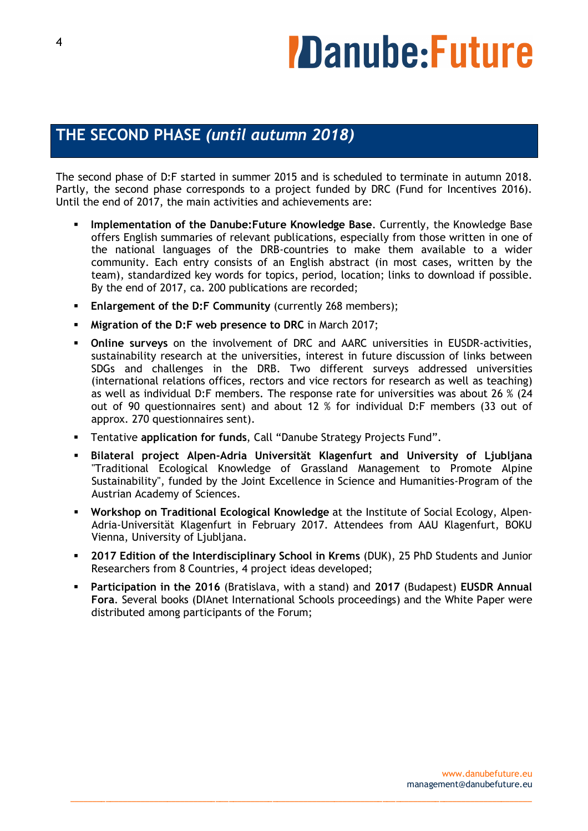# *ZDanube:Future*

### **THE SECOND PHASE** *(until autumn 2018)*

The second phase of D:F started in summer 2015 and is scheduled to terminate in autumn 2018. Partly, the second phase corresponds to a project funded by DRC (Fund for Incentives 2016). Until the end of 2017, the main activities and achievements are:

- § **Implementation of the Danube:Future Knowledge Base**. Currently, the Knowledge Base offers English summaries of relevant publications, especially from those written in one of the national languages of the DRB-countries to make them available to a wider community. Each entry consists of an English abstract (in most cases, written by the team), standardized key words for topics, period, location; links to download if possible. By the end of 2017, ca. 200 publications are recorded;
- § **Enlargement of the D:F Community** (currently 268 members);
- § **Migration of the D:F web presence to DRC** in March 2017;
- § **Online surveys** on the involvement of DRC and AARC universities in EUSDR-activities, sustainability research at the universities, interest in future discussion of links between SDGs and challenges in the DRB. Two different surveys addressed universities (international relations offices, rectors and vice rectors for research as well as teaching) as well as individual D:F members. The response rate for universities was about 26 % (24 out of 90 questionnaires sent) and about 12 % for individual D:F members (33 out of approx. 270 questionnaires sent).
- § Tentative **application for funds**, Call "Danube Strategy Projects Fund".
- § **Bilateral project Alpen-Adria Universität Klagenfurt and University of Ljubljana** "Traditional Ecological Knowledge of Grassland Management to Promote Alpine Sustainability", funded by the Joint Excellence in Science and Humanities-Program of the Austrian Academy of Sciences.
- § **Workshop on Traditional Ecological Knowledge** at the Institute of Social Ecology, Alpen-Adria-Universität Klagenfurt in February 2017. Attendees from AAU Klagenfurt, BOKU Vienna, University of Liubliana.
- § **2017 Edition of the Interdisciplinary School in Krems** (DUK), 25 PhD Students and Junior Researchers from 8 Countries, 4 project ideas developed;
- § **Participation in the 2016** (Bratislava, with a stand) and **2017** (Budapest) **EUSDR Annual Fora**. Several books (DIAnet International Schools proceedings) and the White Paper were distributed among participants of the Forum;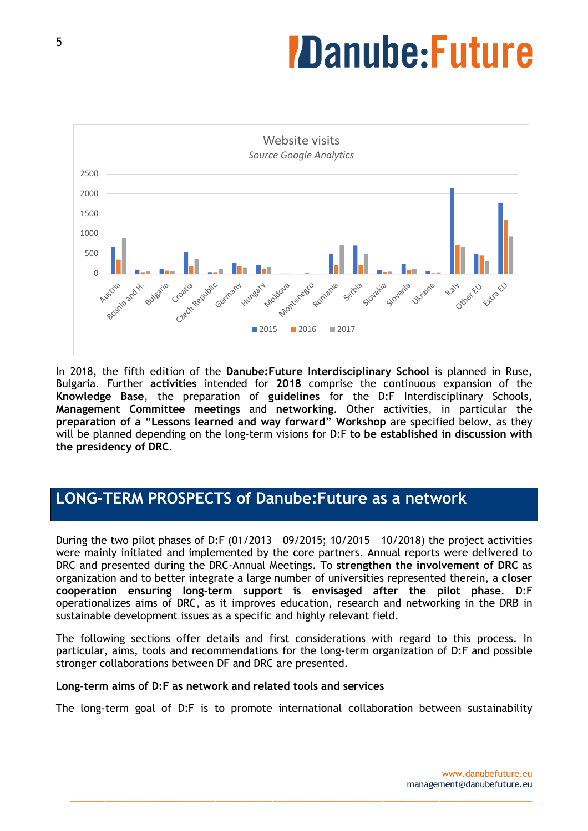# **Danube:Future**



In 2018, the fifth edition of the **Danube:Future Interdisciplinary School** is planned in Ruse, Bulgaria. Further **activities** intended for **2018** comprise the continuous expansion of the **Knowledge Base**, the preparation of **guidelines** for the D:F Interdisciplinary Schools, **Management Committee meetings** and **networking**. Other activities, in particular the **preparation of a "Lessons learned and way forward" Workshop** are specified below, as they will be planned depending on the long-term visions for D:F **to be established in discussion with the presidency of DRC**.

### **LONG-TERM PROSPECTS of Danube:Future as a network**

During the two pilot phases of D:F (01/2013 – 09/2015; 10/2015 – 10/2018) the project activities were mainly initiated and implemented by the core partners. Annual reports were delivered to DRC and presented during the DRC-Annual Meetings. To **strengthen the involvement of DRC** as organization and to better integrate a large number of universities represented therein, a **closer cooperation ensuring long-term support is envisaged after the pilot phase**. D:F operationalizes aims of DRC, as it improves education, research and networking in the DRB in sustainable development issues as a specific and highly relevant field.

The following sections offer details and first considerations with regard to this process. In particular, aims, tools and recommendations for the long-term organization of D:F and possible stronger collaborations between DF and DRC are presented.

#### **Long-term aims of D:F as network and related tools and services**

The long-term goal of D:F is to promote international collaboration between sustainability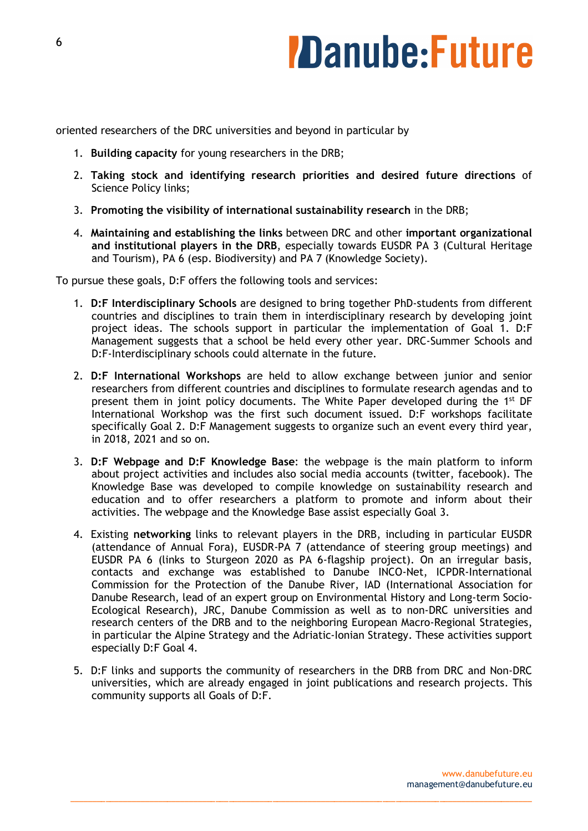### **Danube:Future**

oriented researchers of the DRC universities and beyond in particular by

- 1. **Building capacity** for young researchers in the DRB;
- 2. **Taking stock and identifying research priorities and desired future directions** of Science Policy links;
- 3. **Promoting the visibility of international sustainability research** in the DRB;
- 4. **Maintaining and establishing the links** between DRC and other **important organizational and institutional players in the DRB**, especially towards EUSDR PA 3 (Cultural Heritage and Tourism), PA 6 (esp. Biodiversity) and PA 7 (Knowledge Society).

To pursue these goals, D:F offers the following tools and services:

- 1. **D:F Interdisciplinary Schools** are designed to bring together PhD-students from different countries and disciplines to train them in interdisciplinary research by developing joint project ideas. The schools support in particular the implementation of Goal 1. D:F Management suggests that a school be held every other year. DRC-Summer Schools and D:F-Interdisciplinary schools could alternate in the future.
- 2. **D:F International Workshops** are held to allow exchange between junior and senior researchers from different countries and disciplines to formulate research agendas and to present them in joint policy documents. The White Paper developed during the 1<sup>st</sup> DF International Workshop was the first such document issued. D:F workshops facilitate specifically Goal 2. D:F Management suggests to organize such an event every third year, in 2018, 2021 and so on.
- 3. **D:F Webpage and D:F Knowledge Base**: the webpage is the main platform to inform about project activities and includes also social media accounts (twitter, facebook). The Knowledge Base was developed to compile knowledge on sustainability research and education and to offer researchers a platform to promote and inform about their activities. The webpage and the Knowledge Base assist especially Goal 3.
- 4. Existing **networking** links to relevant players in the DRB, including in particular EUSDR (attendance of Annual Fora), EUSDR-PA 7 (attendance of steering group meetings) and EUSDR PA 6 (links to Sturgeon 2020 as PA 6-flagship project). On an irregular basis, contacts and exchange was established to Danube INCO-Net, ICPDR-International Commission for the Protection of the Danube River, IAD (International Association for Danube Research, lead of an expert group on Environmental History and Long-term Socio-Ecological Research), JRC, Danube Commission as well as to non-DRC universities and research centers of the DRB and to the neighboring European Macro-Regional Strategies, in particular the Alpine Strategy and the Adriatic-Ionian Strategy. These activities support especially D:F Goal 4.
- 5. D:F links and supports the community of researchers in the DRB from DRC and Non-DRC universities, which are already engaged in joint publications and research projects. This community supports all Goals of D:F.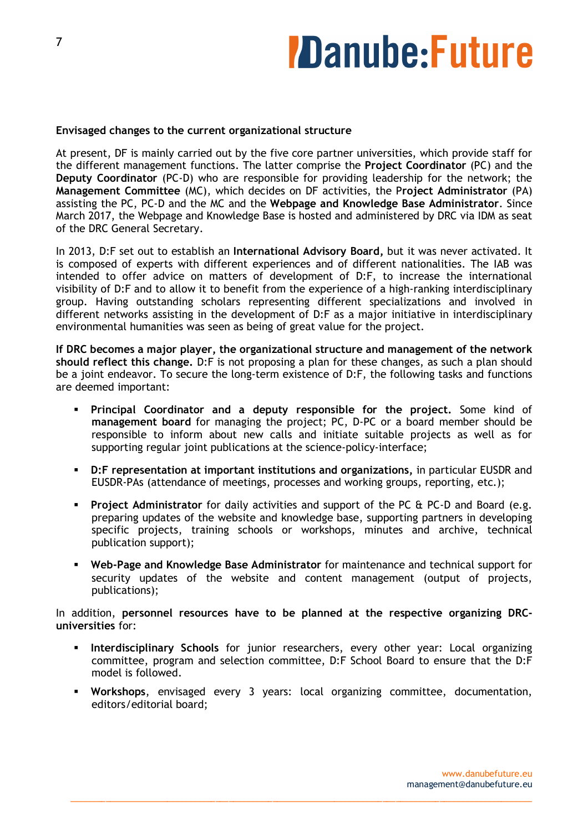### **Danube:Future**

#### **Envisaged changes to the current organizational structure**

At present, DF is mainly carried out by the five core partner universities, which provide staff for the different management functions. The latter comprise the **Project Coordinator** (PC) and the **Deputy Coordinator** (PC-D) who are responsible for providing leadership for the network; the **Management Committee** (MC), which decides on DF activities, the P**roject Administrator** (PA) assisting the PC, PC-D and the MC and the **Webpage and Knowledge Base Administrator**. Since March 2017, the Webpage and Knowledge Base is hosted and administered by DRC via IDM as seat of the DRC General Secretary.

In 2013, D:F set out to establish an **International Advisory Board,** but it was never activated. It is composed of experts with different experiences and of different nationalities. The IAB was intended to offer advice on matters of development of D:F, to increase the international visibility of D:F and to allow it to benefit from the experience of a high-ranking interdisciplinary group. Having outstanding scholars representing different specializations and involved in different networks assisting in the development of D:F as a major initiative in interdisciplinary environmental humanities was seen as being of great value for the project.

**If DRC becomes a major player, the organizational structure and management of the network should reflect this change.** D:F is not proposing a plan for these changes, as such a plan should be a joint endeavor. To secure the long-term existence of D:F, the following tasks and functions are deemed important:

- § **Principal Coordinator and a deputy responsible for the project.** Some kind of **management board** for managing the project; PC, D-PC or a board member should be responsible to inform about new calls and initiate suitable projects as well as for supporting regular joint publications at the science-policy-interface;
- § **D:F representation at important institutions and organizations,** in particular EUSDR and EUSDR-PAs (attendance of meetings, processes and working groups, reporting, etc.);
- **•** Project Administrator for daily activities and support of the PC & PC-D and Board (e.g. preparing updates of the website and knowledge base, supporting partners in developing specific projects, training schools or workshops, minutes and archive, technical publication support);
- § **Web-Page and Knowledge Base Administrator** for maintenance and technical support for security updates of the website and content management (output of projects, publications);

In addition, **personnel resources have to be planned at the respective organizing DRCuniversities** for:

- § **Interdisciplinary Schools** for junior researchers, every other year: Local organizing committee, program and selection committee, D:F School Board to ensure that the D:F model is followed.
- § **Workshops**, envisaged every 3 years: local organizing committee, documentation, editors/editorial board;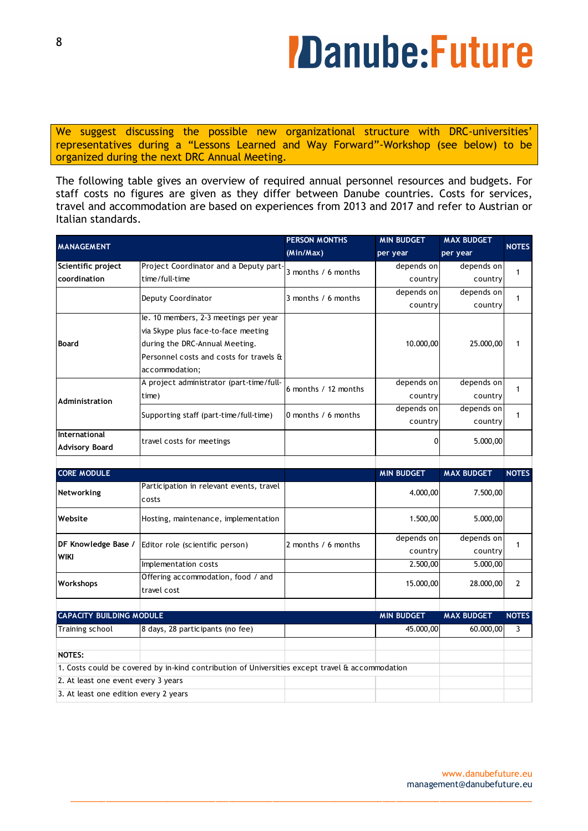# *ZDanube:Future*

We suggest discussing the possible new organizational structure with DRC-universities' representatives during a "Lessons Learned and Way Forward"-Workshop (see below) to be organized during the next DRC Annual Meeting.

The following table gives an overview of required annual personnel resources and budgets. For staff costs no figures are given as they differ between Danube countries. Costs for services, travel and accommodation are based on experiences from 2013 and 2017 and refer to Austrian or Italian standards.

| <b>MANAGEMENT</b>                   |                                                                                                 | <b>PERSON MONTHS</b><br>(Min/Max) | <b>MIN BUDGET</b><br>per year | <b>MAX BUDGET</b><br>per year | <b>NOTES</b>   |
|-------------------------------------|-------------------------------------------------------------------------------------------------|-----------------------------------|-------------------------------|-------------------------------|----------------|
|                                     |                                                                                                 |                                   |                               |                               |                |
| Scientific project                  | Project Coordinator and a Deputy part-                                                          | 3 months / 6 months               | depends on                    | depends on                    | $\mathbf{1}$   |
| coordination                        | time/full-time                                                                                  |                                   | country                       | country                       |                |
|                                     | Deputy Coordinator                                                                              | 3 months / 6 months               | depends on                    | depends on                    | 1              |
|                                     |                                                                                                 |                                   | country                       | country                       |                |
| <b>Board</b>                        | le. 10 members, 2-3 meetings per year                                                           |                                   |                               |                               |                |
|                                     | via Skype plus face-to-face meeting                                                             |                                   |                               |                               |                |
|                                     | during the DRC-Annual Meeting.                                                                  |                                   | 10.000,00                     | 25.000,00                     | 1              |
|                                     | Personnel costs and costs for travels &                                                         |                                   |                               |                               |                |
|                                     | accommodation;                                                                                  |                                   |                               |                               |                |
| Administration                      | A project administrator (part-time/full-                                                        | 6 months / 12 months              | depends on                    | depends on                    |                |
|                                     | time)                                                                                           |                                   | country                       | country                       | $\mathbf{1}$   |
|                                     |                                                                                                 | 0 months / 6 months               | depends on                    | depends on                    | 1              |
|                                     | Supporting staff (part-time/full-time)                                                          |                                   | country                       | country                       |                |
| International                       |                                                                                                 |                                   |                               |                               |                |
| <b>Advisory Board</b>               | travel costs for meetings                                                                       |                                   | 0                             | 5.000,00                      |                |
|                                     |                                                                                                 |                                   |                               |                               |                |
|                                     |                                                                                                 |                                   |                               |                               |                |
|                                     |                                                                                                 |                                   |                               |                               |                |
| <b>CORE MODULE</b>                  |                                                                                                 |                                   | <b>MIN BUDGET</b>             | <b>MAX BUDGET</b>             | <b>NOTES</b>   |
| Networking                          | Participation in relevant events, travel                                                        |                                   | 4.000,00                      | 7.500,00                      |                |
|                                     | costs                                                                                           |                                   |                               |                               |                |
| Website                             | Hosting, maintenance, implementation                                                            |                                   | 1.500,00                      | 5.000,00                      |                |
|                                     |                                                                                                 |                                   |                               |                               |                |
| DF Knowledge Base /                 |                                                                                                 | 2 months / 6 months               | depends on                    | depends on                    | $\mathbf{1}$   |
| <b>WIKI</b>                         | Editor role (scientific person)                                                                 |                                   | country                       | country                       |                |
|                                     | Implementation costs                                                                            |                                   | 2.500,00                      | 5.000,00                      |                |
|                                     | Offering accommodation, food / and                                                              |                                   |                               |                               |                |
| Workshops                           | travel cost                                                                                     |                                   | 15.000,00                     | 28.000,00                     | $\overline{2}$ |
|                                     |                                                                                                 |                                   |                               |                               |                |
| <b>CAPACITY BUILDING MODULE</b>     |                                                                                                 |                                   | <b>MIN BUDGET</b>             | <b>MAX BUDGET</b>             | <b>NOTES</b>   |
| Training school                     | 8 days, 28 participants (no fee)                                                                |                                   | 45.000,00                     | 60.000,00                     | $\overline{3}$ |
| <b>NOTES:</b>                       |                                                                                                 |                                   |                               |                               |                |
|                                     | 1. Costs could be covered by in-kind contribution of Universities except travel & accommodation |                                   |                               |                               |                |
| 2. At least one event every 3 years |                                                                                                 |                                   |                               |                               |                |